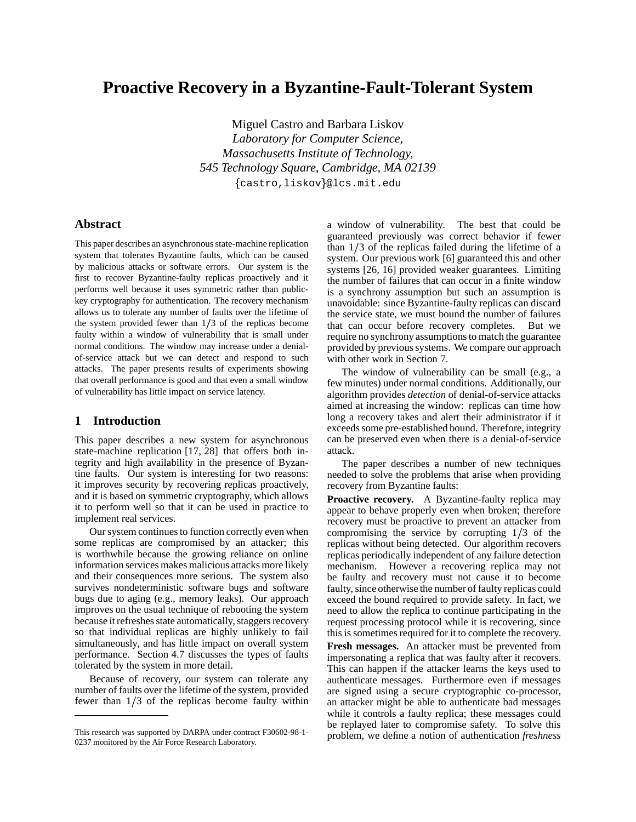# **Proactive Recovery in a Byzantine-Fault-Tolerant System**

Miguel Castro and Barbara Liskov *Laboratory for Computer Science, Massachusetts Institute of Technology, 545 Technology Square, Cambridge, MA 02139* castro,liskov @lcs.mit.edu

# **Abstract**

This paper describes an asynchronous state-machine replication system that tolerates Byzantine faults, which can be caused by malicious attacks or software errors. Our system is the first to recover Byzantine-faulty replicas proactively and it performs well because it uses symmetric rather than publickey cryptography for authentication. The recovery mechanism allows us to tolerate any number of faults over the lifetime of the system provided fewer than  $1/3$  of the replicas become faulty within a window of vulnerability that is small under normal conditions. The window may increase under a denialof-service attack but we can detect and respond to such attacks. The paper presents results of experiments showing that overall performance is good and that even a small window of vulnerability has little impact on service latency.

# **1 Introduction**

This paper describes a new system for asynchronous state-machine replication [17, 28] that offers both integrity and high availability in the presence of Byzantine faults. Our system is interesting for two reasons: it improves security by recovering replicas proactively, and it is based on symmetric cryptography, which allows it to perform well so that it can be used in practice to implement real services.

Our system continues to function correctly even when some replicas are compromised by an attacker; this is worthwhile because the growing reliance on online information services makes malicious attacks more likely and their consequences more serious. The system also survives nondeterministic software bugs and software bugs due to aging (e.g., memory leaks). Our approach improves on the usual technique of rebooting the system because it refreshes state automatically, staggers recovery so that individual replicas are highly unlikely to fail simultaneously, and has little impact on overall system performance. Section 4.7 discusses the types of faults tolerated by the system in more detail.

Because of recovery, our system can tolerate any number of faults over the lifetime of the system, provided fewer than  $1/3$  of the replicas become faulty within a window of vulnerability. The best that could be guaranteed previously was correct behavior if fewer than  $1/3$  of the replicas failed during the lifetime of a system. Our previous work [6] guaranteed this and other systems [26, 16] provided weaker guarantees. Limiting the number of failures that can occur in a finite window is a synchrony assumption but such an assumption is unavoidable: since Byzantine-faulty replicas can discard the service state, we must bound the number of failures that can occur before recovery completes. But we require no synchrony assumptions to match the guarantee provided by previous systems. We compare our approach with other work in Section 7.

The window of vulnerability can be small (e.g., a few minutes) under normal conditions. Additionally, our algorithm provides *detection* of denial-of-service attacks aimed at increasing the window: replicas can time how long a recovery takes and alert their administrator if it exceeds some pre-established bound. Therefore, integrity can be preserved even when there is a denial-of-service attack.

The paper describes a number of new techniques needed to solve the problems that arise when providing recovery from Byzantine faults:

**Proactive recovery.** A Byzantine-faulty replica may appear to behave properly even when broken; therefore recovery must be proactive to prevent an attacker from compromising the service by corrupting  $1/3$  of the replicas without being detected. Our algorithm recovers replicas periodically independent of any failure detection mechanism. However a recovering replica may not be faulty and recovery must not cause it to become faulty, since otherwise the number of faulty replicas could exceed the bound required to provide safety. In fact, we need to allow the replica to continue participating in the request processing protocol while it is recovering, since this is sometimes required for it to complete the recovery.

**Fresh messages.** An attacker must be prevented from impersonating a replica that was faulty after it recovers. This can happen if the attacker learns the keys used to authenticate messages. Furthermore even if messages are signed using a secure cryptographic co-processor, an attacker might be able to authenticate bad messages while it controls a faulty replica; these messages could be replayed later to compromise safety. To solve this problem, we define a notion of authentication *freshness*

This research was supported by DARPA under contract F30602-98-1- 0237 monitored by the Air Force Research Laboratory.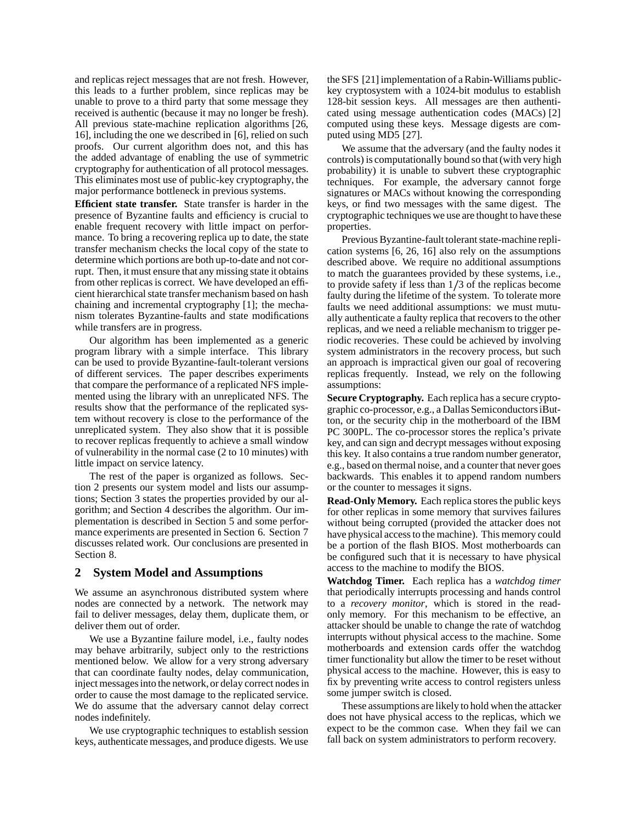and replicas reject messages that are not fresh. However, this leads to a further problem, since replicas may be unable to prove to a third party that some message they received is authentic (because it may no longer be fresh). All previous state-machine replication algorithms [26, 16], including the one we described in [6], relied on such proofs. Our current algorithm does not, and this has the added advantage of enabling the use of symmetric cryptography for authentication of all protocol messages. This eliminates most use of public-key cryptography, the major performance bottleneck in previous systems.

**Efficient state transfer.** State transfer is harder in the presence of Byzantine faults and efficiency is crucial to enable frequent recovery with little impact on performance. To bring a recovering replica up to date, the state transfer mechanism checks the local copy of the state to determine which portions are both up-to-date and not corrupt. Then, it must ensure that any missing state it obtains from other replicas is correct. We have developed an efficient hierarchical state transfer mechanism based on hash chaining and incremental cryptography [1]; the mechanism tolerates Byzantine-faults and state modifications while transfers are in progress.

Our algorithm has been implemented as a generic program library with a simple interface. This library can be used to provide Byzantine-fault-tolerant versions of different services. The paper describes experiments that compare the performance of a replicated NFS implemented using the library with an unreplicated NFS. The results show that the performance of the replicated system without recovery is close to the performance of the unreplicated system. They also show that it is possible to recover replicas frequently to achieve a small window of vulnerability in the normal case (2 to 10 minutes) with little impact on service latency.

The rest of the paper is organized as follows. Section 2 presents our system model and lists our assumptions; Section 3 states the properties provided by our algorithm; and Section 4 describes the algorithm. Our implementation is described in Section 5 and some performance experiments are presented in Section 6. Section 7 discusses related work. Our conclusions are presented in Section 8.

# **2 System Model and Assumptions**

We assume an asynchronous distributed system where nodes are connected by a network. The network may fail to deliver messages, delay them, duplicate them, or deliver them out of order.

We use a Byzantine failure model, i.e., faulty nodes may behave arbitrarily, subject only to the restrictions mentioned below. We allow for a very strong adversary that can coordinate faulty nodes, delay communication, inject messages into the network, or delay correct nodes in order to cause the most damage to the replicated service. We do assume that the adversary cannot delay correct nodes indefinitely.

We use cryptographic techniques to establish session keys, authenticate messages, and produce digests. We use theSFS [21] implementation of a Rabin-Williams publickey cryptosystem with a 1024-bit modulus to establish 128-bit session keys. All messages are then authenticated using message authentication codes (MACs) [2] computed using these keys. Message digests are computed using MD5 [27].

We assume that the adversary (and the faulty nodes it controls) is computationally bound so that(with very high probability) it is unable to subvert these cryptographic techniques. For example, the adversary cannot forge signatures or MACs without knowing the corresponding keys, or find two messages with the same digest. The cryptographic techniques we use are thought to have these properties.

Previous Byzantine-fault tolerant state-machine replication systems [6, 26, 16] also rely on the assumptions described above. We require no additional assumptions to match the guarantees provided by these systems, i.e., to provide safety if less than  $1/3$  of the replicas become faulty during the lifetime of the system. To tolerate more faults we need additional assumptions: we must mutually authenticate a faulty replica that recovers to the other replicas, and we need a reliable mechanism to trigger periodic recoveries. These could be achieved by involving system administrators in the recovery process, but such an approach is impractical given our goal of recovering replicas frequently. Instead, we rely on the following assumptions:

**Secure Cryptography.** Each replica has a secure cryptographic co-processor, e.g., a Dallas Semiconductors iButton, or the security chip in the motherboard of the IBM PC 300PL. The co-processor stores the replica's private key, and can sign and decrypt messages without exposing this key. It also contains a true random number generator, e.g., based on thermal noise, and a counter that never goes backwards. This enables it to append random numbers or the counter to messages it signs.

**Read-Only Memory.** Each replica stores the public keys for other replicas in some memory that survives failures without being corrupted (provided the attacker does not have physical access to the machine). This memory could be a portion of the flash BIOS. Most motherboards can be configured such that it is necessary to have physical access to the machine to modify the BIOS.

**Watchdog Timer.** Each replica has a *watchdog timer* that periodically interrupts processing and hands control to a *recovery monitor*, which is stored in the readonly memory. For this mechanism to be effective, an attacker should be unable to change the rate of watchdog interrupts without physical access to the machine. Some motherboards and extension cards offer the watchdog timer functionality but allow the timer to be reset without physical access to the machine. However, this is easy to fix by preventing write access to control registers unless some jumper switch is closed.

These assumptions are likely to hold when the attacker does not have physical access to the replicas, which we expect to be the common case. When they fail we can fall back on system administrators to perform recovery.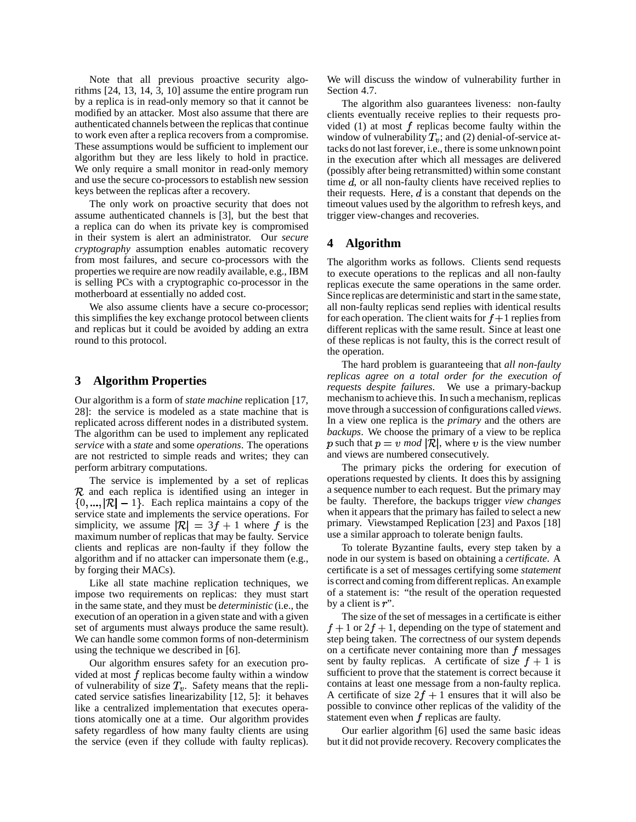Note that all previous proactive security algorithms [24, 13, 14, 3, 10] assume the entire program run by a replica is in read-only memory so that it cannot be modified by an attacker. Most also assume that there are authenticated channels between the replicas that continue to work even after a replica recovers from a compromise. These assumptions would be sufficient to implement our algorithm but they are less likely to hold in practice. We only require a small monitor in read-only memory and use the secure co-processors to establish new session keys between the replicas after a recovery.

The only work on proactive security that does not assume authenticated channels is [3], but the best that a replica can do when its private key is compromised in their system is alert an administrator. Our *secure cryptography* assumption enables automatic recovery from most failures, and secure co-processors with the properties we require are now readily available, e.g., IBM is selling PCs with a cryptographic co-processor in the motherboard at essentially no added cost.

We also assume clients have a secure co-processor; this simplifies the key exchange protocol between clients and replicas but it could be avoided by adding an extra round to this protocol.

# **3 Algorithm Properties**

Our algorithm is a form of *state machine* replication [17, 28]: the service is modeled as a state machine that is replicated across different nodes in a distributed system. The algorithm can be used to implement any replicated *service* with a *state* and some *operations*. The operations are not restricted to simple reads and writes; they can perform arbitrary computations.

The service is implemented by a set of replicas  $R$  and each replica is identified using an integer in  $\{0, ..., |\mathcal{R}|-1\}$ . Each replica maintains a copy of the service state and implements the service operations. For simplicity, we assume  $|\mathcal{R}| = 3f + 1$  where f is the maximum number of replicas that may be faulty. Service clients and replicas are non-faulty if they follow the algorithm and if no attacker can impersonate them (e.g., by forging their MACs).

Like all state machine replication techniques, we impose two requirements on replicas: they must start in the same state, and they must be *deterministic* (i.e., the execution of an operation in a given state and with a given set of arguments must always produce the same result). We can handle some common forms of non-determinism using the technique we described in [6].

Our algorithm ensures safety for an execution provided at most  $f$  replicas become faulty within a window of vulnerability of size  $T_v$ . Safety means that the replicated service satisfies linearizability [12, 5]: it behaves like a centralized implementation that executes operations atomically one at a time. Our algorithm provides safety regardless of how many faulty clients are using the service (even if they collude with faulty replicas). We will discuss the window of vulnerability further in Section 4.7.

The algorithm also guarantees liveness: non-faulty clients eventually receive replies to their requests provided (1) at most  $f$  replicas become faulty within the window of vulnerability  $T_v$ ; and (2) denial-of-service attacks do not last forever, i.e., there is some unknown point in the execution after which all messages are delivered (possibly after being retransmitted) within some constant time  $d$ , or all non-faulty clients have received replies to their requests. Here,  $d$  is a constant that depends on the timeout values used by the algorithm to refresh keys, and trigger view-changes and recoveries.

# **4 Algorithm**

The algorithm works as follows. Clients send requests to execute operations to the replicas and all non-faulty replicas execute the same operations in the same order. Since replicas are deterministic and start in the same state, all non-faulty replicas send replies with identical results for each operation. The client waits for  $f + 1$  replies from different replicas with the same result. Since at least one of these replicas is not faulty, this is the correct result of the operation.

The hard problem is guaranteeing that *all non-faulty replicas agree on a total order for the execution of requests despite failures*. We use a primary-backup mechanism to achieve this. In such a mechanism, replicas move through a succession of configurations called *views*. In a view one replica is the *primary* and the others are *backups*. We choose the primary of a view to be replica p such that  $p = v \mod |R|$ , where v is the view number and views are numbered consecutively.

The primary picks the ordering for execution of operations requested by clients. It does this by assigning a sequence number to each request. But the primary may be faulty. Therefore, the backups trigger *view changes* when it appears that the primary has failed to select a new primary. Viewstamped Replication [23] and Paxos [18] use a similar approach to tolerate benign faults.

To tolerate Byzantine faults, every step taken by a node in our system is based on obtaining a *certificate*. A certificate is a set of messages certifying some *statement* is correct and coming from different replicas. An example of a statement is: "the result of the operation requested by a client is  $r$ ".

The size of the set of messages in a certificate is either  $f + 1$  or  $2f + 1$ , depending on the type of statement and step being taken. The correctness of our system depends on a certificate never containing more than  $f$  messages sent by faulty replicas. A certificate of size  $f + 1$  is sufficient to prove that the statement is correct because it contains at least one message from a non-faulty replica. A certificate of size  $2f + 1$  ensures that it will also be possible to convince other replicas of the validity of the statement even when  $f$  replicas are faulty.

Our earlier algorithm [6] used the same basic ideas but it did not provide recovery. Recovery complicates the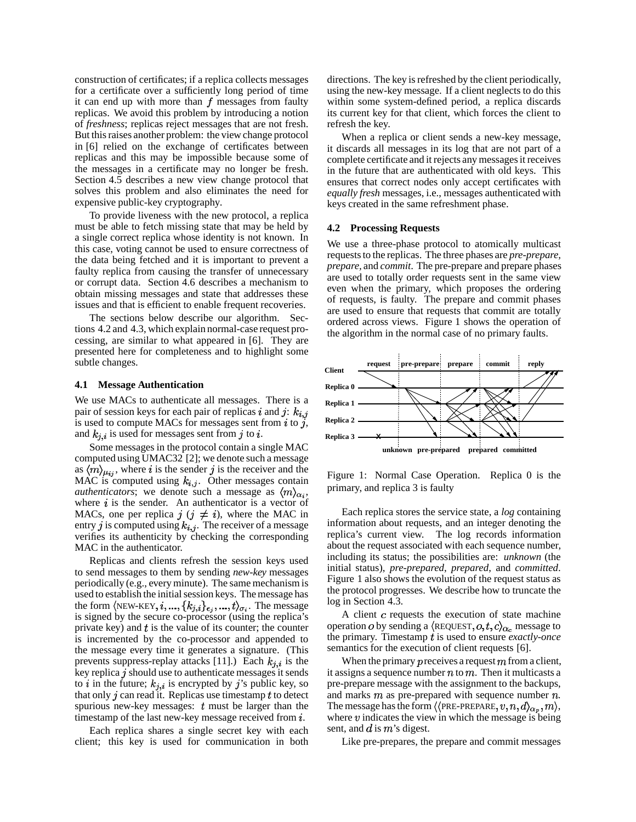construction of certificates; if a replica collects messages for a certificate over a sufficiently long period of time it can end up with more than  $f$  messages from faulty replicas. We avoid this problem by introducing a notion of *freshness*; replicas reject messages that are not fresh. But this raises another problem: the view change protocol in [6] relied on the exchange of certificates between replicas and this may be impossible because some of the messages in a certificate may no longer be fresh. Section 4.5 describes a new view change protocol that solves this problem and also eliminates the need for expensive public-key cryptography.

To provide liveness with the new protocol, a replica must be able to fetch missing state that may be held by a single correct replica whose identity is not known. In this case, voting cannot be used to ensure correctness of the data being fetched and it is important to prevent a faulty replica from causing the transfer of unnecessary or corrupt data. Section 4.6 describes a mechanism to obtain missing messages and state that addresses these issues and that is efficient to enable frequent recoveries.

The sections below describe our algorithm. Sections 4.2 and 4.3, which explain normal-case request processing, are similar to what appeared in [6]. They are presented here for completeness and to highlight some subtle changes.

#### **4.1 Message Authentication**

We use MACs to authenticate all messages. There is a pair of session keys for each pair of replicas i and j:  $k_{i,j}$ is used to compute MACs for messages sent from  $i$  to  $j$ , and  $k_{i,i}$  is used for messages sent from j to i.

Some messages in the protocol contain a single MAC computed using UMAC32 [2]; we denote such a message as  $\langle m \rangle_{\mu_{ij}}$ , where i is the sender j is the receiver and the MAC is computed using  $k_{i,j}$ . Other messages contain *authenticators*; we denote such a message as  $\langle m \rangle_{\alpha_i}$ , where  $i$  is the sender. An authenticator is a vector of MACs, one per replica  $j$  ( $j \neq i$ ), where the MAC in entry j is computed using  $k_{i,j}$ . The receiver of a message verifies its authenticity by checking the corresponding MAC in the authenticator.

Replicas and clients refresh the session keys used to send messages to them by sending *new-key* messages periodically (e.g., every minute). The same mechanism is used to establish the initial session keys. The message has the form  $\langle$ NEW-KEY,  $i, ..., \{k_{j,i}\}_{\epsilon_j}, ..., t\}_{\sigma_i}$ . The message is signed by the secure co-processor (using the replica's private key) and  $t$  is the value of its counter; the counter is incremented by the co-processor and appended to the message every time it generates a signature. (This prevents suppress-replay attacks [11].) Each  $k_{j,i}$  is the key replica  $j$  should use to authenticate messages it sends to in the future;  $k_{j,i}$  is encrypted by j's public key, so that only  $j$  can read it. Replicas use timestamp  $t$  to detect spurious new-key messages:  $t$  must be larger than the timestamp of the last new-key message received from  $i$ .

Each replica shares a single secret key with each client; this key is used for communication in both directions. The key is refreshed by the client periodically, using the new-key message. If a client neglects to do this within some system-defined period, a replica discards its current key for that client, which forces the client to refresh the key.

When a replica or client sends a new-key message, it discards all messages in its log that are not part of a complete certificate and it rejects any messages it receives in the future that are authenticated with old keys. This ensures that correct nodes only accept certificates with equally fresh messages, i.e., messages authenticated with keys created in the same refreshment phase.

## **4.2 Processing Requests**

We use a three-phase protocol to atomically multicast requests to the replicas. The three phases are *pre-prepare*, *prepare,* and *commit*. The pre-prepare and prepare phases are used to totally order requests sent in the same view even when the primary, which proposes the ordering of requests, is faulty. The prepare and commit phases are used to ensure that requests that commit are totally ordered across views. Figure 1 shows the operation of the algorithm in the normal case of no primary faults.



Figure 1: Normal Case Operation. Replica 0 is the primary, and replica 3 is faulty

Each replica stores the service state, a *log* containing information about requests, and an integer denoting the replica's current view. The log records information about the request associated with each sequence number, including its status; the possibilities are: *unknown* (the initial status), *pre-prepared*, *prepared*, and *committed*. Figure 1 also shows the evolution of the request status as the protocol progresses. We describe how to truncate the log in Section 4.3.

A client  $c$  requests the execution of state machine operation o by sending a  $\langle$ REQUEST,  $o, t, c \rangle_{\alpha_c}$  message to the primary. Timestamp t is used to ensure *exactly-once* semantics for the execution of client requests [6].

When the primary  $p$  receives a request  $m$  from a client, it assigns a sequence number  $n \text{ to } m$ . Then it multicasts a pre-prepare message with the assignment to the backups, and marks  $m$  as pre-prepared with sequence number  $n$ . The message has the form  $\langle$  (PRE-PREPARE,  $v, n, d \rangle_{\alpha_p}, m \rangle$ , where  $v$  indicates the view in which the message is being sent, and  $d$  is  $m$ 's digest.

Like pre-prepares, the prepare and commit messages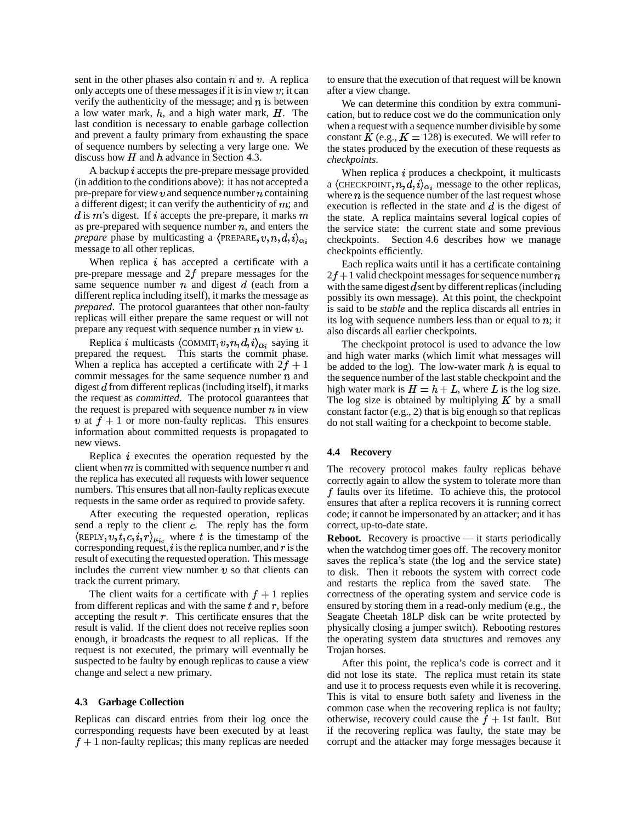sent in the other phases also contain  $n$  and  $v$ . A replica only accepts one of these messages if it is in view  $v$ ; it can verify the authenticity of the message; and  $n$  is between a low water mark,  $h$ , and a high water mark,  $H$ . The last condition is necessary to enable garbage collection and prevent a faulty primary from exhausting the space of sequence numbers by selecting a very large one. We discuss how  $H$  and  $h$  advance in Section 4.3.

A backup  $i$  accepts the pre-prepare message provided (in addition to the conditions above): it has not accepted a pre-prepare for view  $v$  and sequence number  $n$  containing a different digest; it can verify the authenticity of  $m$ ; and d is  $m$ 's digest. If i accepts the pre-prepare, it marks  $m$ as pre-prepared with sequence number  $n$ , and enters the *prepare* phase by multicasting a  $\langle$ PREPARE,  $v, n, d, i \rangle_{\alpha_i}$ message to all other replicas.

When replica  $i$  has accepted a certificate with a pre-prepare message and  $2f$  prepare messages for the same sequence number  $n$  and digest  $d$  (each from a different replica including itself), it marks the message as *prepared*. The protocol guarantees that other non-faulty replicas will either prepare the same request or will not prepare any request with sequence number  $n$  in view  $v$ .

Replica *i* multicasts  $\langle$  COMMIT,  $v, n, d, i \rangle_{\alpha_i}$  saying it prepared the request. This starts the commit phase. When a replica has accepted a certificate with  $2f + 1$ commit messages for the same sequence number  $n$  and digest  $d$  from different replicas (including itself), it marks the request as *committed*. The protocol guarantees that the request is prepared with sequence number  $n$  in view v at  $f + 1$  or more non-faulty replicas. This ensures information about committed requests is propagated to new views.

Replica  $i$  executes the operation requested by the client when  $m$  is committed with sequence number  $n$  and the replica has executed all requests with lower sequence numbers. This ensures that all non-faulty replicas execute requests in the same order as required to provide safety.

After executing the requested operation, replicas send a reply to the client  $\overline{c}$ . The reply has the form  $\langle$ REPLY,  $v, t, c, i, r \rangle_{\mu_{ic}}$  where t is the timestamp of the corresponding request,  $i$  is the replica number, and  $r$  is the result of executing the requested operation. This message includes the current view number  $v$  so that clients can track the current primary.

The client waits for a certificate with  $f + 1$  replies from different replicas and with the same  $t$  and  $r$ , before accepting the result  $r$ . This certificate ensures that the result is valid. If the client does not receive replies soon enough, it broadcasts the request to all replicas. If the request is not executed, the primary will eventually be suspected to be faulty by enough replicas to cause a view change and select a new primary.

#### **4.3 Garbage Collection**

Replicas can discard entries from their log once the corresponding requests have been executed by at least  $f + 1$  non-faulty replicas; this many replicas are needed to ensure that the execution of that request will be known after a view change.

We can determine this condition by extra communication, but to reduce cost we do the communication only when a request with a sequence number divisible by some constant K (e.g.,  $K = 128$ ) is executed. We will refer to the states produced by the execution of these requests as *checkpoints*.

When replica  $i$  produces a checkpoint, it multicasts a  $\langle$ CHECKPOINT,  $n, d, i \rangle_{\alpha_i}$  message to the other replicas, where  $n$  is the sequence number of the last request whose execution is reflected in the state and  $d$  is the digest of the state. A replica maintains several logical copies of the service state: the current state and some previous checkpoints. Section 4.6 describes how we manage checkpoints efficiently.

Each replica waits until it has a certificate containing  $2f + 1$  valid checkpoint messages for sequence number n with the same digest  $d$  sent by different replicas (including possibly its own message). At this point, the checkpoint is said to be *stable* and the replica discards all entries in its log with sequence numbers less than or equal to  $n$ ; it also discards all earlier checkpoints.

The checkpoint protocol is used to advance the low and high water marks (which limit what messages will be added to the log). The low-water mark  $h$  is equal to the sequence number of the last stable checkpoint and the high water mark is  $H = h + L$ , where L is the log size. The log size is obtained by multiplying  $K$  by a small constant factor  $(e.g., 2)$  that is big enough so that replicas do not stall waiting for a checkpoint to become stable.

#### **4.4 Recovery**

The recovery protocol makes faulty replicas behave correctly again to allow the system to tolerate more than  $f$  faults over its lifetime. To achieve this, the protocol ensures that after a replica recovers it is running correct code; it cannot be impersonated by an attacker; and it has correct, up-to-date state.

**Reboot.** Recovery is proactive — it starts periodically when the watchdog timer goes off. The recovery monitor saves the replica's state (the log and the service state) to disk. Then it reboots the system with correct code and restarts the replica from the saved state. The correctness of the operating system and service code is ensured by storing them in a read-only medium (e.g., the Seagate Cheetah 18LP disk can be write protected by physically closing a jumper switch). Rebooting restores the operating system data structures and removes any Trojan horses.

After this point, the replica's code is correct and it did not lose its state. The replica must retain its state and use it to process requests even while it is recovering. This is vital to ensure both safety and liveness in the common case when the recovering replica is not faulty; otherwise, recovery could cause the  $f + 1$ st fault. But if the recovering replica was faulty, the state may be corrupt and the attacker may forge messages because it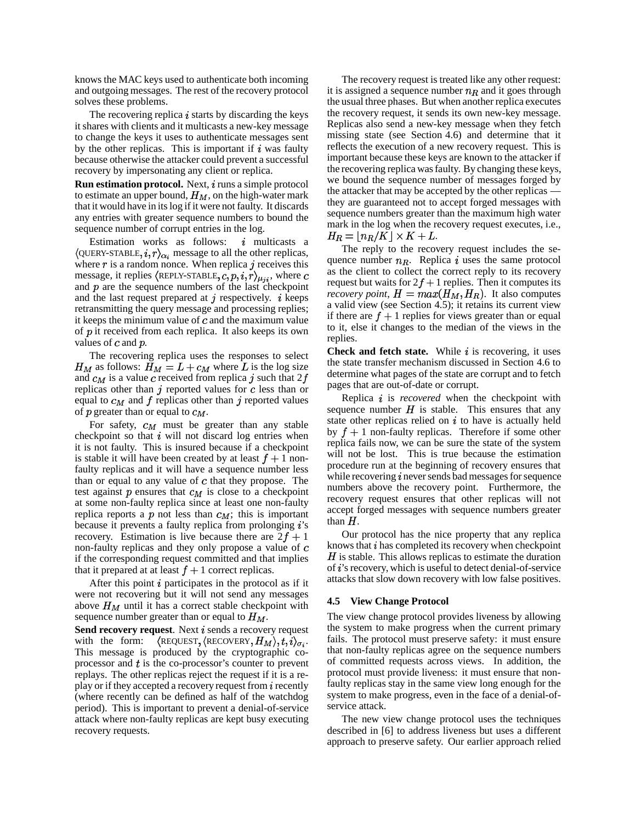knows the MAC keys used to authenticate both incoming and outgoing messages. The rest of the recovery protocol solves these problems.

The recovering replica  $i$  starts by discarding the keys it shares with clients and it multicasts a new-key message to change the keys it uses to authenticate messages sent by the other replicas. This is important if  $i$  was faulty because otherwise the attacker could prevent a successful recovery by impersonating any client or replica.

**Run estimation protocol.** Next, *i* runs a simple protocol to estimate an upper bound,  $H_M$ , on the high-water mark that it would have in its log if it were not faulty. It discards any entries with greater sequence numbers to bound the sequence number of corrupt entries in the log.

Estimation works as follows:  $i$  multicasts a  $\langle$  QUERY-STABLE,  $i, r \rangle_{\alpha_i}$  message to all the other replicas, where  $r$  is a random nonce. When replica  $j$  receives this message, it replies  $\langle$ REPLY-STABLE,  $c, p, i, r \rangle_{\mu_{ji}}$ , where  $c$ and  $p$  are the sequence numbers of the last checkpoint and the last request prepared at  $\eta$  respectively.  $i$  keeps retransmitting the query message and processing replies; it keeps the minimum value of  $c$  and the maximum value of  $p$  it received from each replica. It also keeps its own values of  $c$  and  $p$ .

The recovering replica uses the responses to select  $H_M$  as follows:  $H_M = L + c_M$  where L is the log size and  $c_M$  is a value c received from replica j such that  $2f$ replicas other than  $j$  reported values for  $c$  less than or equal to  $c_M$  and f replicas other than j reported values of  $p$  greater than or equal to  $c_M$ .

For safety,  $c_M$  must be greater than any stable checkpoint so that  $i$  will not discard log entries when it is not faulty. This is insured because if a checkpoint is stable it will have been created by at least  $f + 1$  nonfaulty replicas and it will have a sequence number less than or equal to any value of  $c$  that they propose. The test against  $p$  ensures that  $c_M$  is close to a checkpoint at some non-faulty replica since at least one non-faulty replica reports a p not less than  $c_M$ ; this is important because it prevents a faulty replica from prolonging  $i$ 's recovery. Estimation is live because there are  $2f + 1$ non-faulty replicas and they only propose a value of if the corresponding request committed and that implies that it prepared at at least  $f + 1$  correct replicas.

After this point  $i$  participates in the protocol as if it were not recovering but it will not send any messages above  $H_M$  until it has a correct stable checkpoint with sequence number greater than or equal to  $H_M$ .

**Send recovery request**. Next *i* sends a recovery request with the form:  $\langle$ REQUEST, $\langle$ RECOVERY, $H_M \rangle$ , $t$ , $i \rangle_{\sigma_i}$ . This message is produced by the cryptographic coprocessor and  $t$  is the co-processor's counter to prevent replays. The other replicas reject the request if it is a replay or if they accepted a recovery request from  $i$  recently (where recently can be defined as half of the watchdog period). This is important to prevent a denial-of-service attack where non-faulty replicas are kept busy executing recovery requests.

The recovery request is treated like any other request: it is assigned a sequence number  $n_R$  and it goes through the usual three phases. But when another replica executes the recovery request, it sends its own new-key message. Replicas also send a new-key message when they fetch missing state (see Section 4.6) and determine that it reflects the execution of a new recovery request. This is important because these keys are known to the attacker if the recovering replica wasfaulty. By changing these keys, we bound the sequence number of messages forged by the attacker that may be accepted by the other replicas they are guaranteed not to accept forged messages with sequence numbers greater than the maximum high water mark in the log when the recovery request executes, i.e.,  $H_R = \lfloor n_R/K \rfloor \times K + L.$ 

The reply to the recovery request includes the sequence number  $n_R$ . Replica i uses the same protocol as the client to collect the correct reply to its recovery request but waits for  $2f + 1$  replies. Then it computes its *recovery point*,  $H = max(H_M, H_R)$ . It also computes a valid view (see Section 4.5); it retains its current view if there are  $f + 1$  replies for views greater than or equal to it, else it changes to the median of the views in the replies.

**Check and fetch state.** While  $i$  is recovering, it uses the state transfer mechanism discussed in Section 4.6 to determine what pages of the state are corrupt and to fetch pages that are out-of-date or corrupt.

Replica is *recovered* when the checkpoint with sequence number  $H$  is stable. This ensures that any state other replicas relied on  $i$  to have is actually held by  $f + 1$  non-faulty replicas. Therefore if some other replica fails now, we can be sure the state of the system will not be lost. This is true because the estimation procedure run at the beginning of recovery ensures that while recovering  $i$  never sends bad messages for sequence numbers above the recovery point. Furthermore, the recovery request ensures that other replicas will not accept forged messages with sequence numbers greater than  $H$ .

Our protocol has the nice property that any replica knows that  $i$  has completed its recovery when checkpoint  $H$  is stable. This allows replicas to estimate the duration of  $i$ 's recovery, which is useful to detect denial-of-service attacks that slow down recovery with low false positives.

### **4.5 View Change Protocol**

The view change protocol provides liveness by allowing the system to make progress when the current primary fails. The protocol must preserve safety: it must ensure that non-faulty replicas agree on the sequence numbers of committed requests across views. In addition, the protocol must provide liveness: it must ensure that nonfaulty replicas stay in the same view long enough for the system to make progress, even in the face of a denial-ofservice attack.

The new view change protocol uses the techniques described in [6] to address liveness but uses a different approach to preserve safety. Our earlier approach relied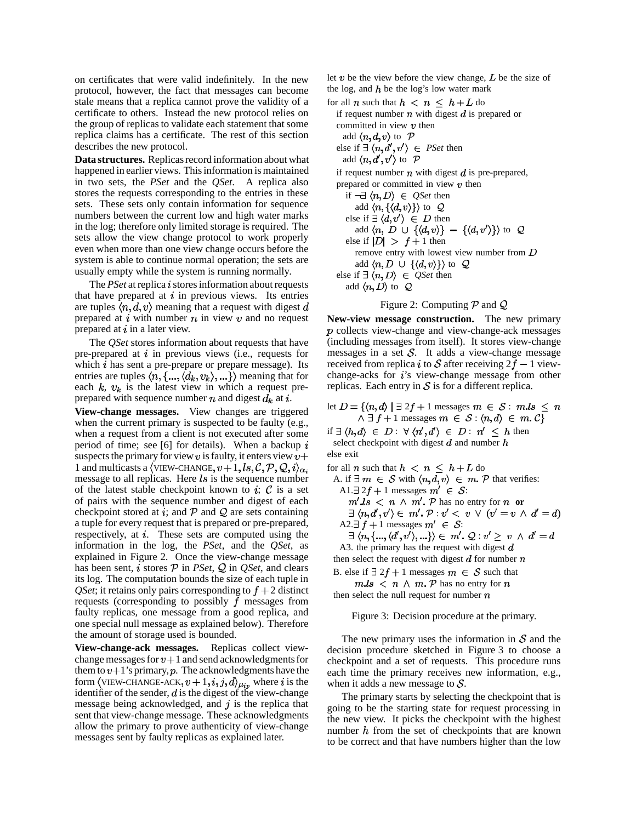on certificates that were valid indefinitely. In the new protocol, however, the fact that messages can become stale means that a replica cannot prove the validity of a certificate to others. Instead the new protocol relies on the group of replicas to validate each statement that some replica claims has a certificate. The rest of this section describes the new protocol.

**Data structures.** Replicasrecord information about what happened in earlier views. This information is maintained in two sets, the *PSet* and the *QSet*. A replica also stores the requests corresponding to the entries in these sets. These sets only contain information for sequence numbers between the current low and high water marks in the log; therefore only limited storage is required. The sets allow the view change protocol to work properly even when more than one view change occurs before the system is able to continue normal operation; the sets are usually empty while the system is running normally.

The *PSet* at replica *i* stores information about requests that have prepared at  $i$  in previous views. Its entries are tuples  $\langle n, d, v \rangle$  meaning that a request with digest d prepared at  $i$  with number  $n$  in view  $v$  and no request prepared at  $i$  in a later view.

The *QSet* stores information about requests that have pre-prepared at  $i$  in previous views (i.e., requests for which  $i$  has sent a pre-prepare or prepare message). Its entries are tuples  $\langle n, \{..., \langle d_k, v_k \rangle, ...\} \rangle$  meaning that for each  $k$ ,  $v_k$  is the latest view in which a request preprepared with sequence number  $n$  and digest  $d_k$  at  $i$ .

**View-change messages.** View changes are triggered when the current primary is suspected to be faulty (e.g., when a request from a client is not executed after some period of time; see [6] for details). When a backup  $i$ suspects the primary for view  $v$  is faulty, it enters view  $v+$ 1 and multicasts a  $\langle$ VIEW-CHANGE,  $v+1, ls, C, P, Q, i \rangle_{\alpha_i}$ message to all replicas. Here  $ls$  is the sequence number of the latest stable checkpoint known to i;  $\mathcal C$  is a set of pairs with the sequence number and digest of each checkpoint stored at i; and  $\mathcal{P}$  and  $\mathcal{Q}$  are sets containing a tuple for every request that is prepared or pre-prepared, respectively, at  $i$ . These sets are computed using the information in the log, the *PSet*, and the *QSet*, as explained in Figure 2. Once the view-change message has been sent,  $i$  stores  $P$  in *PSet*,  $Q$  in *QSet*, and clears its log. The computation bounds the size of each tuple in *QSet*; it retains only pairs corresponding to  $f + 2$  distinct requests (corresponding to possibly  $f$  messages from faulty replicas, one message from a good replica, and one special null message as explained below). Therefore the amount of storage used is bounded.

**View-change-ack messages.** Replicas collect viewchange messages for  $v+1$  and send acknowledgments for them to  $v+1$ 's primary, p. The acknowledgments have the form  $\langle$ VIEW-CHANGE-ACK,  $v+1, i, j, d \rangle_{\mu_{ip}}$  where i is the identifier of the sender,  $d$  is the digest of the view-change message being acknowledged, and  $j$  is the replica that sent that view-change message. These acknowledgments allow the primary to prove authenticity of view-change messages sent by faulty replicas as explained later.

let  $v$  be the view before the view change,  $L$  be the size of the log, and  $h$  be the log's low water mark

for all  $n$  such that  $h \leq n \leq h + L$  do if request number  $n$  with digest  $d$  is prepared or committed in view  $v$  then add  $\langle n, d, v \rangle$  to  $\mathcal{P}$ else if  $\exists \langle n, d', v' \rangle \in \text{PSet}$  then add  $\langle n, d', v' \rangle$  to  $\mathcal{P}$ if request number  $n$  with digest  $d$  is pre-prepared, prepared or committed in view  $v$  then if  $\neg \exists \langle n, D \rangle \in Q$ Set then add  $\langle n, \{\langle d, v \rangle\} \rangle$  to  $\mathcal Q$ else if  $\exists \langle d, v' \rangle \in D$  then add  $\langle n, D \cup \{\langle d, v \rangle\} - \{\langle d, v' \rangle\} \rangle$  to  $\mathcal{Q}$ else if  $|D| > f + 1$  then remove entry with lowest view number from  $D$ add  $\langle n, D \cup \{\langle d, v \rangle\}\rangle$  to  $\mathcal Q$ else if  $\exists \langle n, D \rangle \in Q$ Set then add  $\langle n, D \rangle$  to  $\mathcal Q$ 

#### Figure 2: Computing  $P$  and  $Q$

**New-view message construction.** The new primary  $p$  collects view-change and view-change-ack messages (including messages from itself). It stores view-change messages in a set  $S$ . It adds a view-change message received from replica *i* to S after receiving  $2f - 1$  viewchange-acks for  $i$ 's view-change message from other replicas. Each entry in  $S$  is for a different replica.

let  $D = \{(n, d) | \exists 2f + 1 \text{ messages } m \in S : m.ls \leq n\}$  $\land \exists f+1$  messages  $m \in S : \langle n, d \rangle \in m$ .  $C$ 

if  $\exists \langle h, d \rangle \in D : \forall \langle n', d' \rangle \in D : n' \leq h$  then select checkpoint with digest  $d$  and number  $h$ else exit

for all *n* such that  $h \leq n \leq h + L$  do A. if  $\exists m \in S$  with  $\langle n, d, v \rangle \in m$ . P that verifies: A1. $\exists$  2 $f + 1$  messages  $m' \in S$ :  $m'.ls < n \wedge m'.$  P has no entry for n or  $\exists \langle n, d', v' \rangle \in m'. \mathcal{P} : v' < v \lor (v' = v \land d' = d)$ A2.  $\exists f+1$  messages  $m' \in S$ :  $\exists \langle n, \{..., \langle d', v' \rangle, ...\} \rangle \in m'. Q : v' \geq v \ \land d' = d$ A3. the primary has the request with digest  $d$ then select the request with digest  $d$  for number  $n$ 

B. else if  $\exists$  2f + 1 messages  $m \in S$  such that  $m.ls < n \wedge m.P$  has no entry for n

then select the null request for number  $n$ 

Figure 3: Decision procedure at the primary.

The new primary uses the information in  $S$  and the decision procedure sketched in Figure 3 to choose a checkpoint and a set of requests. This procedure runs each time the primary receives new information, e.g., when it adds a new message to  $S$ .

The primary starts by selecting the checkpoint that is going to be the starting state for request processing in the new view. It picks the checkpoint with the highest number  $h$  from the set of checkpoints that are known to be correct and that have numbers higher than the low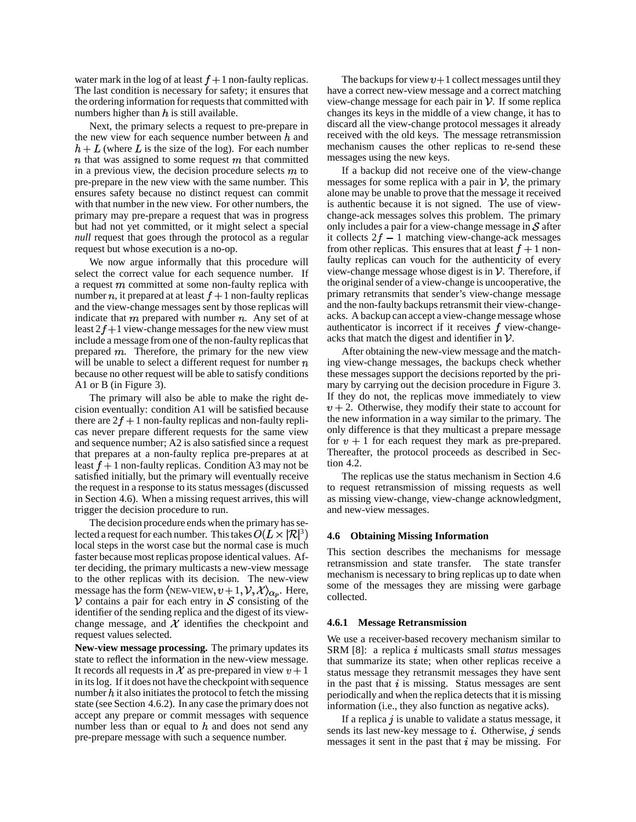water mark in the log of at least  $f + 1$  non-faulty replicas. The last condition is necessary for safety; it ensures that the ordering information for requests that committed with numbers higher than  $h$  is still available.

Next, the primary selects a request to pre-prepare in the new view for each sequence number between  $h$  and  $h + L$  (where L is the size of the log). For each number  $n$  that was assigned to some request  $m$  that committed in a previous view, the decision procedure selects  $m$  to pre-prepare in the new view with the same number. This ensures safety because no distinct request can commit with that number in the new view. For other numbers, the primary may pre-prepare a request that was in progress but had not yet committed, or it might select a special *null* request that goes through the protocol as a regular request but whose execution is a no-op.

We now argue informally that this procedure will select the correct value for each sequence number. If a request  $m$  committed at some non-faulty replica with number *n*, it prepared at at least  $f + 1$  non-faulty replicas and the view-change messages sent by those replicas will indicate that  $m$  prepared with number  $n$ . Any set of at least  $2f+1$  view-change messages for the new view must include a message from one of the non-faulty replicasthat prepared  $m$ . Therefore, the primary for the new view will be unable to select a different request for number  $n$ because no other request will be able to satisfy conditions A1 or B (in Figure 3).

The primary will also be able to make the right decision eventually: condition A1 will be satisfied because there are  $2f + 1$  non-faulty replicas and non-faulty replicas never prepare different requests for the same view and sequence number; A2 is also satisfied since a request that prepares at a non-faulty replica pre-prepares at at least  $f + 1$  non-faulty replicas. Condition A3 may not be satisfied initially, but the primary will eventually receive the requestin a response to its status messages(discussed in Section 4.6). When a missing request arrives, this will trigger the decision procedure to run.

The decision procedure ends when the primary has selected a request for each number. This takes  $O(L \times |\mathcal{R}|^3)$ local steps in the worst case but the normal case is much faster because most replicas propose identical values. After deciding, the primary multicasts a new-view message to the other replicas with its decision. The new-view message has the form  $\langle$ NEW-VIEW,  $v+1, \mathcal{V}, \mathcal{X} \rangle_{\alpha_v}$ . Here,  $\mathcal V$  contains a pair for each entry in  $\mathcal S$  consisting of the identifier of the sending replica and the digest of its viewchange message, and  $\mathcal X$  identifies the checkpoint and request values selected.

**New-view message processing.** The primary updates its state to reflect the information in the new-view message. It records all requests in X as pre-prepared in view  $v + 1$ in itslog. If it does not have the checkpoint with sequence number  $h$  it also initiates the protocol to fetch the missing state (see Section 4.6.2). In any case the primary does not accept any prepare or commit messages with sequence number less than or equal to  $h$  and does not send any pre-prepare message with such a sequence number.

The backups for view  $v+1$  collect messages until they have a correct new-view message and a correct matching view-change message for each pair in  $\mathcal V$ . If some replica changes its keys in the middle of a view change, it has to discard all the view-change protocol messages it already received with the old keys. The message retransmission mechanism causes the other replicas to re-send these messages using the new keys.

If a backup did not receive one of the view-change messages for some replica with a pair in  $\mathcal V$ , the primary alone may be unable to prove that the message it received is authentic because it is not signed. The use of viewchange-ack messages solves this problem. The primary only includes a pair for a view-change message in  $\mathcal S$  after it collects  $2f - 1$  matching view-change-ack messages from other replicas. This ensures that at least  $f + 1$  nonfaulty replicas can vouch for the authenticity of every view-change message whose digest is in  $V$ . Therefore, if the original sender of a view-change is uncooperative, the primary retransmits that sender's view-change message and the non-faulty backups retransmit their view-changeacks. A backup can accept a view-change message whose authenticator is incorrect if it receives  $f$  view-changeacks that match the digest and identifier in  $\mathcal V$ .

After obtaining the new-view message and the matching view-change messages, the backups check whether these messages support the decisions reported by the primary by carrying out the decision procedure in Figure 3. If they do not, the replicas move immediately to view  $v + 2$ . Otherwise, they modify their state to account for the new information in a way similar to the primary. The only difference is that they multicast a prepare message for  $v + 1$  for each request they mark as pre-prepared. Thereafter, the protocol proceeds as described in Section 4.2.

The replicas use the status mechanism in Section 4.6 to request retransmission of missing requests as well as missing view-change, view-change acknowledgment, and new-view messages.

#### **4.6 Obtaining Missing Information**

This section describes the mechanisms for message retransmission and state transfer. The state transfer mechanism is necessary to bring replicas up to date when some of the messages they are missing were garbage collected.

### **4.6.1 Message Retransmission**

We use a receiver-based recovery mechanism similar to SRM [8]: a replica i multicasts small *status* messages that summarize its state; when other replicas receive a status message they retransmit messages they have sent in the past that  $i$  is missing. Status messages are sent periodically and when the replica detects that it is missing information (i.e., they also function as negative acks).

If a replica  $\hat{j}$  is unable to validate a status message, it sends its last new-key message to  $i$ . Otherwise,  $j$  sends messages it sent in the past that  $i$  may be missing. For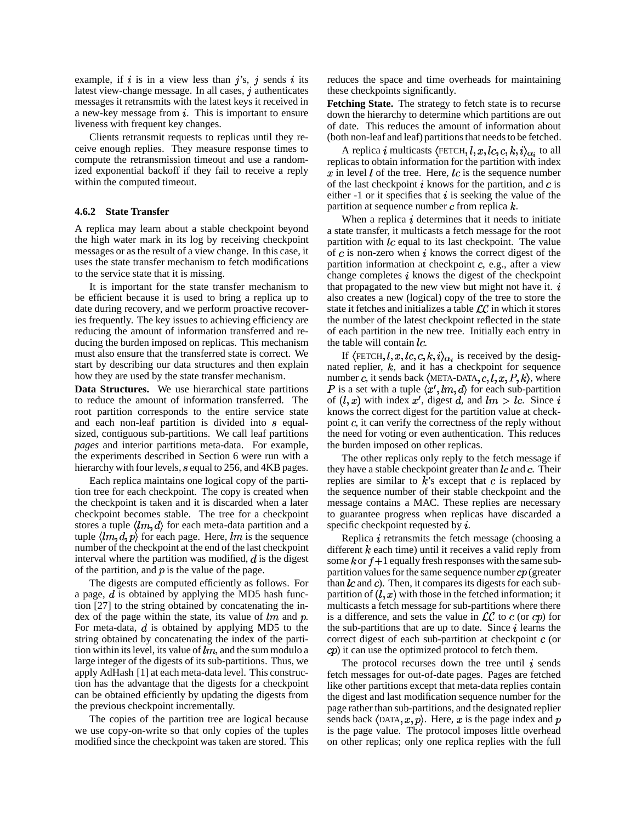example, if i is in a view less than  $j$ 's,  $j$  sends i its latest view-change message. In all cases,  $j$  authenticates messages it retransmits with the latest keys it received in a new-key message from  $i$ . This is important to ensure liveness with frequent key changes.

Clients retransmit requests to replicas until they receive enough replies. They measure response times to compute the retransmission timeout and use a randomized exponential backoff if they fail to receive a reply within the computed timeout.

### **4.6.2 State Transfer**

A replica may learn about a stable checkpoint beyond the high water mark in its log by receiving checkpoint messages or as the result of a view change. In this case, it uses the state transfer mechanism to fetch modifications to the service state that it is missing.

It is important for the state transfer mechanism to be efficient because it is used to bring a replica up to date during recovery, and we perform proactive recoveries frequently. The key issues to achieving efficiency are reducing the amount of information transferred and reducing the burden imposed on replicas. This mechanism must also ensure that the transferred state is correct. We start by describing our data structures and then explain how they are used by the state transfer mechanism.

**Data Structures.** We use hierarchical state partitions to reduce the amount of information transferred. The root partition corresponds to the entire service state and each non-leaf partition is divided into  $s$  equalsized, contiguous sub-partitions. We call leaf partitions *pages* and interior partitions meta-data. For example, the experiments described in Section 6 were run with a hierarchy with four levels,  $s$  equal to 256, and 4KB pages.

Each replica maintains one logical copy of the partition tree for each checkpoint. The copy is created when the checkpoint is taken and it is discarded when a later checkpoint becomes stable. The tree for a checkpoint stores a tuple  $\langle lm, d \rangle$  for each meta-data partition and a tuple  $\langle lm, d, p \rangle$  for each page. Here,  $lm$  is the sequence number of the checkpoint atthe end of the last checkpoint interval where the partition was modified,  $d$  is the digest of the partition, and  $p$  is the value of the page.

The digests are computed efficiently as follows. For a page,  $d$  is obtained by applying the MD5 hash function [27] to the string obtained by concatenating the index of the page within the state, its value of  $lm$  and  $p$ . For meta-data,  $d$  is obtained by applying MD5 to the string obtained by concatenating the index of the partition within its level, its value of  $lm$ , and the sum modulo a large integer of the digests of its sub-partitions. Thus, we apply AdHash [1] at each meta-data level. This construction has the advantage that the digests for a checkpoint can be obtained efficiently by updating the digests from the previous checkpoint incrementally.

The copies of the partition tree are logical because we use copy-on-write so that only copies of the tuples modified since the checkpoint was taken are stored. This reduces the space and time overheads for maintaining these checkpoints significantly.

**Fetching State.** The strategy to fetch state is to recurse down the hierarchy to determine which partitions are out of date. This reduces the amount of information about (both non-leaf and leaf) partitions that needs to be fetched.

A replica i multicasts  $\langle$  FETCH,  $l, x, lc, c, k, i \rangle_{\alpha_i}$  to all replicas to obtain information for the partition with index  $x$  in level  $l$  of the tree. Here,  $lc$  is the sequence number of the last checkpoint  $i$  knows for the partition, and  $c$  is either  $-1$  or it specifies that i is seeking the value of the partition at sequence number  $c$  from replica  $k$ .

When a replica  $i$  determines that it needs to initiate a state transfer, it multicasts a fetch message for the root partition with  $lc$  equal to its last checkpoint. The value of  $c$  is non-zero when  $i$  knows the correct digest of the partition information at checkpoint  $c$ , e.g., after a view change completes  $i$  knows the digest of the checkpoint that propagated to the new view but might not have it.  $i$ also creates a new (logical) copy of the tree to store the state it fetches and initializes a table  $LC$  in which it stores the number of the latest checkpoint reflected in the state of each partition in the new tree. Initially each entry in the table will contain  $lc$ .

If  $\langle$ FETCH,  $l, x, lc, c, k, i \rangle_{\alpha_i}$  is received by the designated replier,  $k$ , and it has a checkpoint for sequence number c, it sends back  $\langle \text{META-DATA}, c, l, x, P, k \rangle$ , where is a set with a tuple  $\langle x',lm,d\rangle$  for each sub-partition of  $(l, x)$  with index x', digest d, and  $lm > lc$ . Since knows the correct digest for the partition value at checkpoint  $c$ , it can verify the correctness of the reply without the need for voting or even authentication. This reduces the burden imposed on other replicas.

The other replicas only reply to the fetch message if they have a stable checkpoint greater than  $lc$  and  $c$ . Their replies are similar to  $k$ 's except that c is replaced by the sequence number of their stable checkpoint and the message contains a MAC. These replies are necessary to guarantee progress when replicas have discarded a specific checkpoint requested by  $i$ .

Replica  $i$  retransmits the fetch message (choosing a different  $k$  each time) until it receives a valid reply from some k or  $f+1$  equally fresh responses with the same subpartition values for the same sequence number  $cp$  (greater than  $lc$  and  $c$ ). Then, it compares its digests for each subpartition of  $(l, x)$  with those in the fetched information; it multicasts a fetch message for sub-partitions where there is a difference, and sets the value in  $LC$  to c (or cp) for the sub-partitions that are up to date. Since  $i$  learns the correct digest of each sub-partition at checkpoint  $c$  (or  $cp$ ) it can use the optimized protocol to fetch them.

The protocol recurses down the tree until  $i$  sends fetch messages for out-of-date pages. Pages are fetched like other partitions except that meta-data replies contain the digest and last modification sequence number for the page rather than sub-partitions, and the designated replier sends back  $\langle$ DATA, x, p $\rangle$ . Here, x is the page index and p is the page value. The protocol imposes little overhead on other replicas; only one replica replies with the full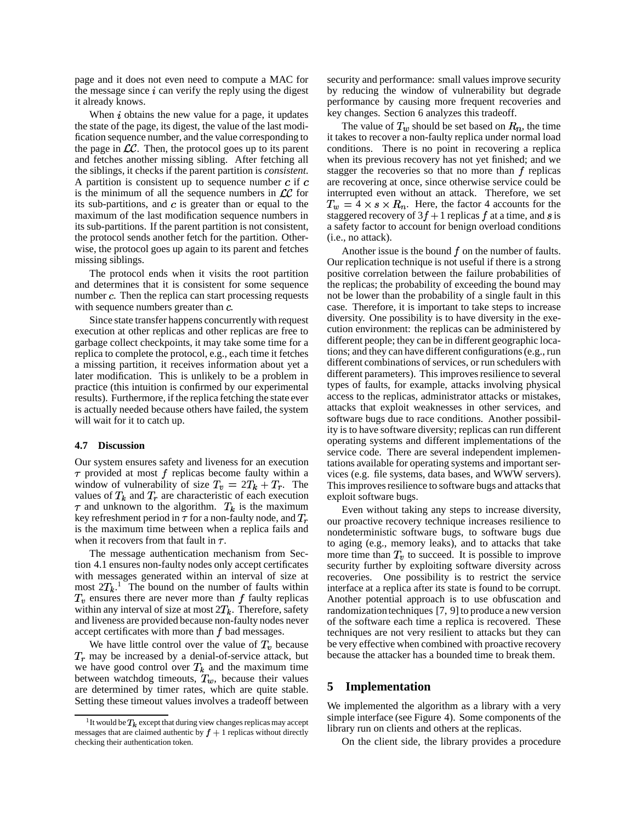page and it does not even need to compute a MAC for the message since  $i$  can verify the reply using the digest it already knows.

When  $i$  obtains the new value for a page, it updates the state of the page, its digest, the value of the last modification sequence number, and the value corresponding to the page in  $\mathcal{LC}$ . Then, the protocol goes up to its parent and fetches another missing sibling. After fetching all the siblings, it checks if the parent partition is *consistent*. A partition is consistent up to sequence number  $c$  if  $c$ is the minimum of all the sequence numbers in  $LC$  for its sub-partitions, and  $c$  is greater than or equal to the maximum of the last modification sequence numbers in its sub-partitions. If the parent partition is not consistent, the protocol sends another fetch for the partition. Otherwise, the protocol goes up again to its parent and fetches missing siblings.

The protocol ends when it visits the root partition and determines that it is consistent for some sequence number  $c$ . Then the replica can start processing requests with sequence numbers greater than  $c$ .

Since state transfer happens concurrently with request execution at other replicas and other replicas are free to garbage collect checkpoints, it may take some time for a replica to complete the protocol, e.g., each time it fetches a missing partition, it receives information about yet a later modification. This is unlikely to be a problem in practice (this intuition is confirmed by our experimental results). Furthermore, if the replica fetching the state ever is actually needed because others have failed, the system will wait for it to catch up.

#### **4.7 Discussion**

Our system ensures safety and liveness for an execution  $\tau$  provided at most f replicas become faulty within a window of vulnerability of size  $T_v = 2T_k + T_r$ . The values of  $T_k$  and  $T_r$  are characteristic of each execution  $\tau$  and unknown to the algorithm.  $T_k$  is the maximum key refreshment period in  $\tau$  for a non-faulty node, and  $T_r$ is the maximum time between when a replica fails and when it recovers from that fault in  $\tau$ .

The message authentication mechanism from Section 4.1 ensures non-faulty nodes only accept certificates with messages generated within an interval of size at most  $2T_k$ <sup>1</sup>. The bound on the number of faults within  $T_v$  ensures there are never more than  $f$  faulty replicas within any interval of size at most  $2T_k$ . Therefore, safety and liveness are provided because non-faulty nodes never accept certificates with more than  $f$  bad messages.

We have little control over the value of  $T_v$  because  $T_r$  may be increased by a denial-of-service attack, but we have good control over  $T_k$  and the maximum time between watchdog timeouts,  $T_w$ , because their values are determined by timer rates, which are quite stable. Setting these timeout values involves a tradeoff between security and performance: small values improve security by reducing the window of vulnerability but degrade performance by causing more frequent recoveries and key changes. Section 6 analyzes this tradeoff.

The value of  $T_w$  should be set based on  $R_n$ , the time it takes to recover a non-faulty replica under normal load conditions. There is no point in recovering a replica when its previous recovery has not yet finished; and we stagger the recoveries so that no more than  $f$  replicas are recovering at once, since otherwise service could be interrupted even without an attack. Therefore, we set  $T_w = 4 \times s \times R_n$ . Here, the factor 4 accounts for the staggered recovery of  $3f + 1$  replicas f at a time, and s is a safety factor to account for benign overload conditions (i.e., no attack).

Another issue is the bound  $f$  on the number of faults. Our replication technique is not useful if there is a strong positive correlation between the failure probabilities of the replicas; the probability of exceeding the bound may not be lower than the probability of a single fault in this case. Therefore, it is important to take steps to increase diversity. One possibility is to have diversity in the execution environment: the replicas can be administered by different people; they can be in different geographic locations; and they can have different configurations(e.g., run different combinations of services, or run schedulers with different parameters). This improves resilience to several types of faults, for example, attacks involving physical access to the replicas, administrator attacks or mistakes, attacks that exploit weaknesses in other services, and software bugs due to race conditions. Another possibility is to have software diversity; replicas can run different operating systems and different implementations of the service code. There are several independent implementations available for operating systems and important services (e.g. file systems, data bases, and WWW servers). This improves resilience to software bugs and attacks that exploit software bugs.

Even without taking any steps to increase diversity, our proactive recovery technique increases resilience to nondeterministic software bugs, to software bugs due to aging (e.g., memory leaks), and to attacks that take more time than  $T_v$  to succeed. It is possible to improve security further by exploiting software diversity across recoveries. One possibility is to restrict the service interface at a replica after its state is found to be corrupt. Another potential approach is to use obfuscation and randomization techniques [7, 9] to produce a new version of the software each time a replica is recovered. These techniques are not very resilient to attacks but they can be very effective when combined with proactive recovery because the attacker has a bounded time to break them.

## **5 Implementation**

We implemented the algorithm as a library with a very simple interface (see Figure 4). Some components of the library run on clients and others at the replicas.

On the client side, the library provides a procedure

<sup>&</sup>lt;sup>1</sup> It would be  $T_k$  except that during view changes replicas may accept messages that are claimed authentic by  $f + 1$  replicas without directly checking their authentication token.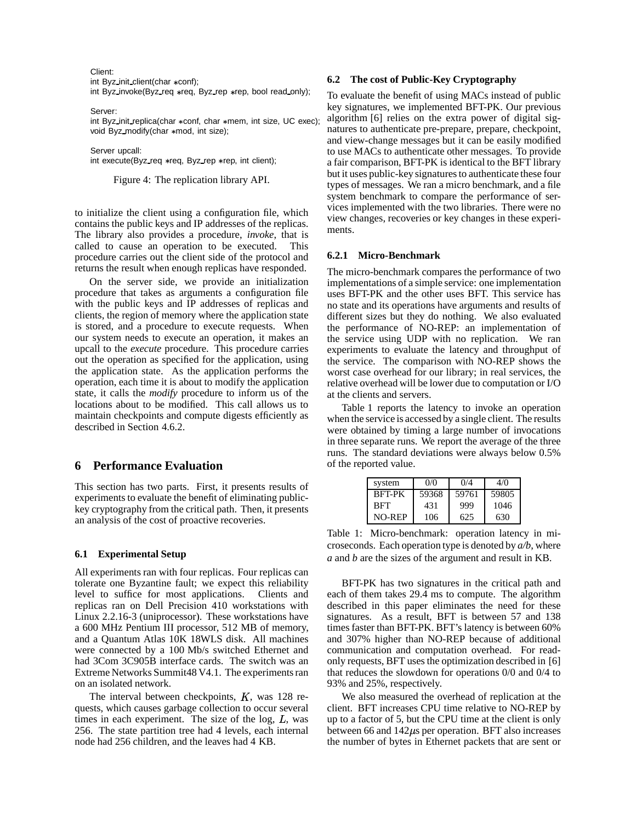Client:

int Byz\_init\_client(char \*conf);

int Byz\_invoke(Byz\_req \*req, Byz\_rep \*rep, bool read\_only);

Server:

int Byz\_init\_replica(char \*conf, char \*mem, int size, UC exec); void Byz\_modify(char \*mod, int size);

Server upcall: int execute(Byz\_req \*req, Byz\_rep \*rep, int client);

Figure 4: The replication library API.

to initialize the client using a configuration file, which contains the public keys and IP addresses of the replicas. The library also provides a procedure, *invoke*, that is called to cause an operation to be executed. This procedure carries out the client side of the protocol and returns the result when enough replicas have responded.

On the server side, we provide an initialization procedure that takes as arguments a configuration file with the public keys and IP addresses of replicas and clients, the region of memory where the application state is stored, and a procedure to execute requests. When our system needs to execute an operation, it makes an upcall to the *execute* procedure. This procedure carries out the operation as specified for the application, using the application state. As the application performs the operation, each time it is about to modify the application state, it calls the *modify* procedure to inform us of the locations about to be modified. This call allows us to maintain checkpoints and compute digests efficiently as described in Section 4.6.2.

# **6 Performance Evaluation**

This section has two parts. First, it presents results of experiments to evaluate the benefit of eliminating publickey cryptography from the critical path. Then, it presents an analysis of the cost of proactive recoveries.

### **6.1 Experimental Setup**

All experiments ran with four replicas. Four replicas can tolerate one Byzantine fault; we expect this reliability level to suffice for most applications. Clients and replicas ran on Dell Precision 410 workstations with Linux 2.2.16-3 (uniprocessor). These workstations have a 600 MHz Pentium III processor, 512 MB of memory, and a Quantum Atlas 10K 18WLS disk. All machines were connected by a 100 Mb/s switched Ethernet and had 3Com 3C905B interface cards. The switch was an Extreme Networks Summit48 V4.1. The experiments ran on an isolated network.

The interval between checkpoints,  $K$ , was 128 requests, which causes garbage collection to occur several times in each experiment. The size of the  $log, L$ , was 256. The state partition tree had 4 levels, each internal node had 256 children, and the leaves had 4 KB.

# **6.2 The cost of Public-Key Cryptography**

To evaluate the benefit of using MACs instead of public key signatures, we implemented BFT-PK. Our previous algorithm [6] relies on the extra power of digital signatures to authenticate pre-prepare, prepare, checkpoint, and view-change messages but it can be easily modified to use MACs to authenticate other messages. To provide a fair comparison, BFT-PK is identical to the BFT library but it uses public-key signatures to authenticate these four types of messages. We ran a micro benchmark, and a file system benchmark to compare the performance of services implemented with the two libraries. There were no view changes, recoveries or key changes in these experiments.

# **6.2.1 Micro-Benchmark**

The micro-benchmark compares the performance of two implementations of a simple service: one implementation uses BFT-PK and the other uses BFT. This service has no state and its operations have arguments and results of different sizes but they do nothing. We also evaluated the performance of NO-REP: an implementation of the service using UDP with no replication. We ran experiments to evaluate the latency and throughput of the service. The comparison with NO-REP shows the worst case overhead for our library; in real services, the relative overhead will be lower due to computation or I/O at the clients and servers.

Table 1 reports the latency to invoke an operation when the service is accessed by a single client. The results were obtained by timing a large number of invocations in three separate runs. We report the average of the three runs. The standard deviations were always below 0.5% of the reported value.

| system        | 0/0   | 0/4   | 4/0   |
|---------------|-------|-------|-------|
| <b>BFT-PK</b> | 59368 | 59761 | 59805 |
| <b>BFT</b>    | 431   | 999   | 1046  |
| NO-REP        | 106   | 625   | 630   |

Table 1: Micro-benchmark: operation latency in microseconds. Each operation type is denoted by *a/b*, where *a* and *b* are the sizes of the argument and result in KB.

BFT-PK has two signatures in the critical path and each of them takes 29.4 ms to compute. The algorithm described in this paper eliminates the need for these signatures. As a result, BFT is between 57 and 138 times faster than BFT-PK. BFT's latency is between 60% and 307% higher than NO-REP because of additional communication and computation overhead. For readonly requests, BFT uses the optimization described in [6] that reduces the slowdown for operations 0/0 and 0/4 to 93% and 25%, respectively.

We also measured the overhead of replication at the client. BFT increases CPU time relative to NO-REP by up to a factor of 5, but the CPU time at the client is only between 66 and  $142\mu s$  per operation. BFT also increases the number of bytes in Ethernet packets that are sent or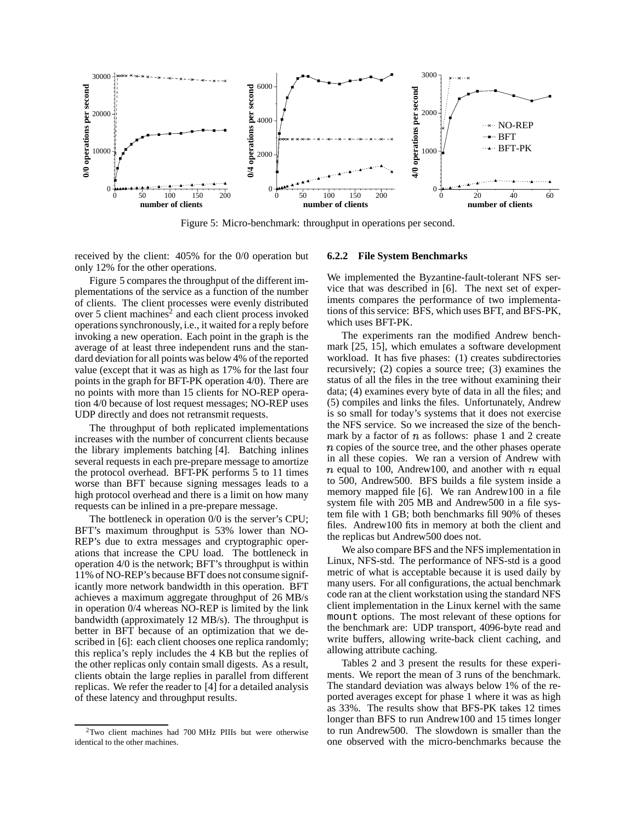

Figure 5: Micro-benchmark: throughput in operations per second.

received by the client: 405% for the 0/0 operation but only 12% for the other operations.

Figure 5 compares the throughput of the differentimplementations of the service as a function of the number of clients. The client processes were evenly distributed over 5 client machines $2$  and each client process invoked operations synchronously, i.e., it waited for a reply before invoking a new operation. Each point in the graph is the average of at least three independent runs and the standard deviation for all points was below 4% of the reported value (except that it was as high as 17% for the last four points in the graph for BFT-PK operation 4/0). There are no points with more than 15 clients for NO-REP operation 4/0 because of lost request messages; NO-REP uses UDP directly and does not retransmit requests.

The throughput of both replicated implementations increases with the number of concurrent clients because the library implements batching [4]. Batching inlines several requests in each pre-prepare message to amortize the protocol overhead. BFT-PK performs 5 to 11 times worse than BFT because signing messages leads to a high protocol overhead and there is a limit on how many requests can be inlined in a pre-prepare message.

The bottleneck in operation 0/0 is the server's CPU; BFT's maximum throughput is 53% lower than NO-REP's due to extra messages and cryptographic operations that increase the CPU load. The bottleneck in operation 4/0 is the network; BFT's throughput is within 11% of NO-REP's because BFT does not consume significantly more network bandwidth in this operation. BFT achieves a maximum aggregate throughput of 26 MB/s in operation 0/4 whereas NO-REP is limited by the link bandwidth (approximately 12 MB/s). The throughput is better in BFT because of an optimization that we described in [6]: each client chooses one replica randomly; this replica's reply includes the 4 KB but the replies of the other replicas only contain small digests. As a result, clients obtain the large replies in parallel from different replicas. We refer the reader to [4] for a detailed analysis of these latency and throughput results.

### **6.2.2 File System Benchmarks**

We implemented the Byzantine-fault-tolerant NFS service that was described in [6]. The next set of experiments compares the performance of two implementations of this service: BFS, which uses BFT, and BFS-PK, which uses BFT-PK.

The experiments ran the modified Andrew benchmark [25, 15], which emulates a software development workload. It has five phases: (1) creates subdirectories recursively; (2) copies a source tree; (3) examines the status of all the files in the tree without examining their data; (4) examines every byte of data in all the files; and (5) compiles and links the files. Unfortunately, Andrew is so small for today's systems that it does not exercise the NFS service. So we increased the size of the benchmark by a factor of  $n$  as follows: phase 1 and 2 create  $n$  copies of the source tree, and the other phases operate in all these copies. We ran a version of Andrew with  $n$  equal to 100, Andrew100, and another with  $n$  equal to 500, Andrew500. BFS builds a file system inside a memory mapped file [6]. We ran Andrew100 in a file system file with 205 MB and Andrew500 in a file system file with 1 GB; both benchmarks fill 90% of theses files. Andrew100 fits in memory at both the client and the replicas but Andrew500 does not.

We also compare BFS and the NFS implementation in Linux, NFS-std. The performance of NFS-std is a good metric of what is acceptable because it is used daily by many users. For all configurations, the actual benchmark code ran at the client workstation using the standard NFS client implementation in the Linux kernel with the same mount options. The most relevant of these options for the benchmark are: UDP transport, 4096-byte read and write buffers, allowing write-back client caching, and allowing attribute caching.

Tables 2 and 3 present the results for these experiments. We report the mean of 3 runs of the benchmark. The standard deviation was always below 1% of the reported averages except for phase 1 where it was as high as 33%. The results show that BFS-PK takes 12 times longer than BFS to run Andrew100 and 15 times longer to run Andrew500. The slowdown is smaller than the one observed with the micro-benchmarks because the

 $2$ Two client machines had 700 MHz PIIIs but were otherwise identical to the other machines.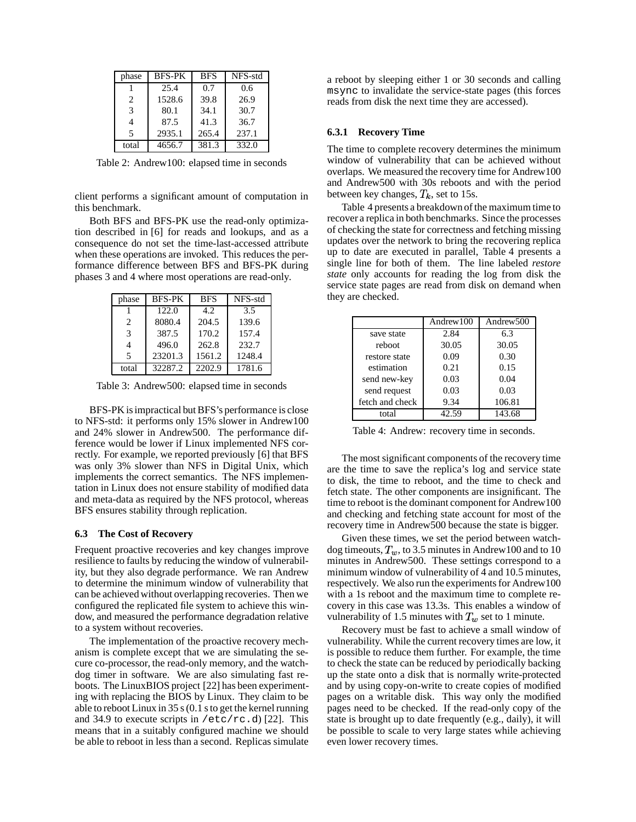| phase | <b>BFS-PK</b> | <b>BFS</b> | NFS-std |
|-------|---------------|------------|---------|
|       | 25.4          | 0.7        | 0.6     |
| 2     | 1528.6        | 39.8       | 26.9    |
| 3     | 80.1          | 34.1       | 30.7    |
| 4     | 87.5          | 41.3       | 36.7    |
| 5     | 2935.1        | 265.4      | 237.1   |
| total | 4656.7        | 381.3      | 332.0   |

Table 2: Andrew100: elapsed time in seconds

client performs a significant amount of computation in this benchmark.

Both BFS and BFS-PK use the read-only optimization described in [6] for reads and lookups, and as a consequence do not set the time-last-accessed attribute when these operations are invoked. This reduces the performance difference between BFS and BFS-PK during phases 3 and 4 where most operations are read-only.

| phase                       | <b>BFS-PK</b> | <b>BFS</b> | NFS-std |
|-----------------------------|---------------|------------|---------|
|                             | 122.0         | 4.2.       | 3.5     |
| $\mathcal{D}_{\mathcal{A}}$ | 8080.4        | 204.5      | 139.6   |
| $\mathcal{R}$               | 387.5         | 170.2      | 157.4   |
|                             | 496.0         | 262.8      | 232.7   |
| 5                           | 23201.3       | 1561.2     | 1248.4  |
| total                       | 32287.2       | 2202.9     | 1781.6  |

Table 3: Andrew500: elapsed time in seconds

BFS-PK is impractical but BFS's performance is close to NFS-std: it performs only 15% slower in Andrew100 and 24% slower in Andrew500. The performance difference would be lower if Linux implemented NFS correctly. For example, we reported previously [6] that BFS was only 3% slower than NFS in Digital Unix, which implements the correct semantics. The NFS implementation in Linux does not ensure stability of modified data and meta-data as required by the NFS protocol, whereas BFS ensures stability through replication.

#### **6.3 The Cost of Recovery**

Frequent proactive recoveries and key changes improve resilience to faults by reducing the window of vulnerability, but they also degrade performance. We ran Andrew to determine the minimum window of vulnerability that can be achieved without overlapping recoveries. Then we configured the replicated file system to achieve this window, and measured the performance degradation relative to a system without recoveries.

The implementation of the proactive recovery mechanism is complete except that we are simulating the secure co-processor, the read-only memory, and the watchdog timer in software. We are also simulating fast reboots. The LinuxBIOS project [22] has been experimenting with replacing the BIOS by Linux. They claim to be able to reboot Linux in 35 s  $(0.1 \text{ s to get the Kernel running})$ and 34.9 to execute scripts in  $/etc/rc.d$  [22]. This means that in a suitably configured machine we should be able to reboot in less than a second. Replicas simulate a reboot by sleeping either 1 or 30 seconds and calling msync to invalidate the service-state pages (this forces reads from disk the next time they are accessed).

### **6.3.1 Recovery Time**

The time to complete recovery determines the minimum window of vulnerability that can be achieved without overlaps. We measured the recovery time for Andrew100 and Andrew500 with 30s reboots and with the period between key changes,  $T_k$ , set to 15s.

Table 4 presents a breakdown of the maximum time to recover a replica in both benchmarks. Since the processes of checking the state for correctness and fetching missing updates over the network to bring the recovering replica up to date are executed in parallel, Table 4 presents a single line for both of them. The line labeled *restore state* only accounts for reading the log from disk the service state pages are read from disk on demand when they are checked.

|                 | Andrew <sub>100</sub> | Andrew <sub>500</sub> |
|-----------------|-----------------------|-----------------------|
| save state      | 2.84                  | 6.3                   |
| reboot          | 30.05                 | 30.05                 |
| restore state   | 0.09                  | 0.30                  |
| estimation      | 0.21                  | 0.15                  |
| send new-key    | 0.03                  | 0.04                  |
| send request    | 0.03                  | 0.03                  |
| fetch and check | 9.34                  | 106.81                |
| total           | 42.59                 | 143.68                |

Table 4: Andrew: recovery time in seconds.

The most significant components of the recovery time are the time to save the replica's log and service state to disk, the time to reboot, and the time to check and fetch state. The other components are insignificant. The time to reboot is the dominant component for Andrew100 and checking and fetching state account for most of the recovery time in Andrew500 because the state is bigger.

Given these times, we set the period between watchdog timeouts,  $T_w$ , to 3.5 minutes in Andrew100 and to 10 minutes in Andrew500. These settings correspond to a minimum window of vulnerability of 4 and 10.5 minutes, respectively. We also run the experiments for Andrew100 with a 1s reboot and the maximum time to complete recovery in this case was 13.3s. This enables a window of vulnerability of 1.5 minutes with  $T_w$  set to 1 minute.

Recovery must be fast to achieve a small window of vulnerability. While the current recovery times are low,it is possible to reduce them further. For example, the time to check the state can be reduced by periodically backing up the state onto a disk that is normally write-protected and by using copy-on-write to create copies of modified pages on a writable disk. This way only the modified pages need to be checked. If the read-only copy of the state is brought up to date frequently (e.g., daily), it will be possible to scale to very large states while achieving even lower recovery times.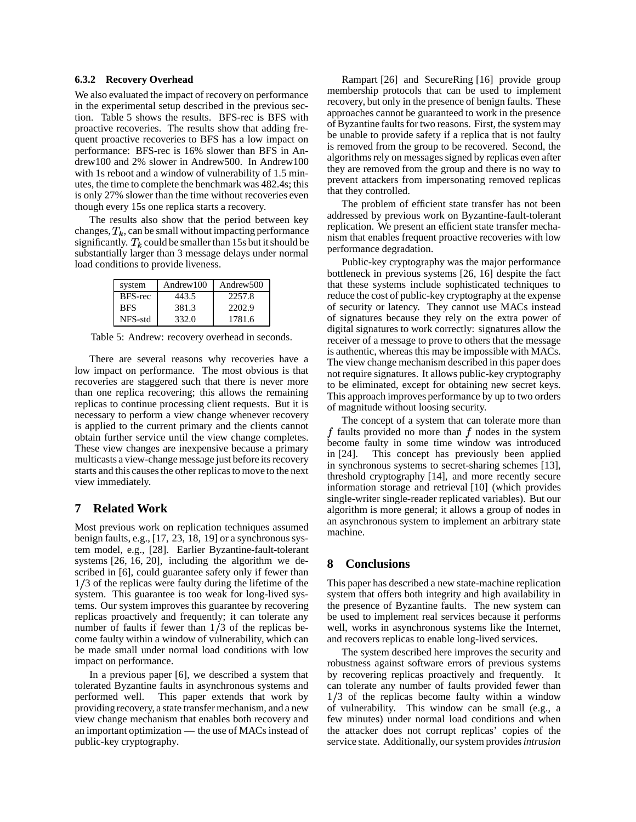## **6.3.2 Recovery Overhead**

We also evaluated the impact of recovery on performance in the experimental setup described in the previous section. Table 5 shows the results. BFS-rec is BFS with proactive recoveries. The results show that adding frequent proactive recoveries to BFS has a low impact on performance: BFS-rec is 16% slower than BFS in Andrew100 and 2% slower in Andrew500. In Andrew100 with 1s reboot and a window of vulnerability of 1.5 minutes, the time to complete the benchmark was 482.4s; this is only 27% slower than the time without recoveries even though every 15s one replica starts a recovery.

The results also show that the period between key changes,  $T_k$ , can be small without impacting performance significantly.  $T_k$  could be smaller than 15s but it should be substantially larger than 3 message delays under normal load conditions to provide liveness.

| system     | Andrew <sub>100</sub> | Andrew <sub>500</sub> |
|------------|-----------------------|-----------------------|
| BFS-rec    | 443.5                 | 2257.8                |
| <b>BFS</b> | 381.3                 | 2202.9                |
| NFS-std    | 332.0                 | 1781.6                |

Table 5: Andrew: recovery overhead in seconds.

There are several reasons why recoveries have a low impact on performance. The most obvious is that recoveries are staggered such that there is never more than one replica recovering; this allows the remaining replicas to continue processing client requests. But it is necessary to perform a view change whenever recovery is applied to the current primary and the clients cannot obtain further service until the view change completes. These view changes are inexpensive because a primary multicasts a view-change message just before its recovery starts and this causes the other replicas to move to the next view immediately.

# **7 Related Work**

Most previous work on replication techniques assumed benign faults, e.g.,  $[17, 23, 18, 19]$  or a synchronous system model, e.g., [28]. Earlier Byzantine-fault-tolerant systems [26, 16, 20], including the algorithm we described in [6], could guarantee safety only if fewer than  $1/3$  of the replicas were faulty during the lifetime of the system. This guarantee is too weak for long-lived systems. Our system improves this guarantee by recovering replicas proactively and frequently; it can tolerate any number of faults if fewer than  $1/3$  of the replicas become faulty within a window of vulnerability, which can be made small under normal load conditions with low impact on performance.

In a previous paper [6], we described a system that tolerated Byzantine faults in asynchronous systems and performed well. This paper extends that work by providing recovery, a state transfermechanism, and a new view change mechanism that enables both recovery and an important optimization — the use of MACsinstead of public-key cryptography.

Rampart [26] and SecureRing [16] provide group membership protocols that can be used to implement recovery, but only in the presence of benign faults. These approaches cannot be guaranteed to work in the presence of Byzantine faults for two reasons. First, the system may be unable to provide safety if a replica that is not faulty is removed from the group to be recovered. Second, the algorithms rely on messages signed by replicas even after they are removed from the group and there is no way to prevent attackers from impersonating removed replicas that they controlled.

The problem of efficient state transfer has not been addressed by previous work on Byzantine-fault-tolerant replication. We present an efficient state transfer mechanism that enables frequent proactive recoveries with low performance degradation.

Public-key cryptography was the major performance bottleneck in previous systems [26, 16] despite the fact that these systems include sophisticated techniques to reduce the cost of public-key cryptography at the expense of security or latency. They cannot use MACs instead of signatures because they rely on the extra power of digital signatures to work correctly: signatures allow the receiver of a message to prove to others that the message is authentic, whereas this may be impossible with MACs. The view change mechanism described in this paper does not require signatures. It allows public-key cryptography to be eliminated, except for obtaining new secret keys. This approach improves performance by up to two orders of magnitude without loosing security.

The concept of a system that can tolerate more than f faults provided no more than  $f$  nodes in the system become faulty in some time window was introduced in [24]. This concept has previously been applied in synchronous systems to secret-sharing schemes [13], threshold cryptography [14], and more recently secure information storage and retrieval [10] (which provides single-writer single-reader replicated variables). But our algorithm is more general; it allows a group of nodes in an asynchronous system to implement an arbitrary state machine.

# **8 Conclusions**

This paper has described a new state-machine replication system that offers both integrity and high availability in the presence of Byzantine faults. The new system can be used to implement real services because it performs well, works in asynchronous systems like the Internet, and recovers replicas to enable long-lived services.

The system described here improves the security and robustness against software errors of previous systems by recovering replicas proactively and frequently. It can tolerate any number of faults provided fewer than  $1/3$  of the replicas become faulty within a window of vulnerability. This window can be small (e.g., a few minutes) under normal load conditions and when the attacker does not corrupt replicas' copies of the service state. Additionally, oursystem provides*intrusion*